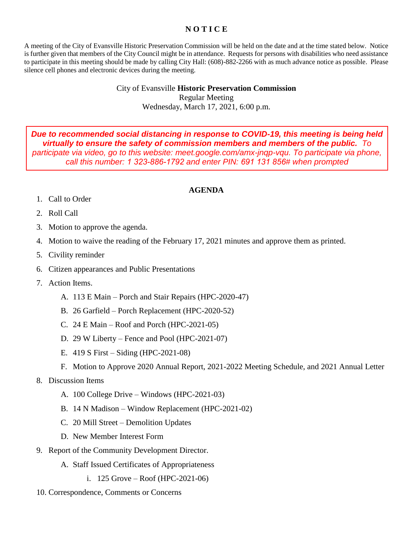## **N O T I C E**

A meeting of the City of Evansville Historic Preservation Commission will be held on the date and at the time stated below. Notice is further given that members of the City Council might be in attendance. Requests for persons with disabilities who need assistance to participate in this meeting should be made by calling City Hall: (608)-882-2266 with as much advance notice as possible. Please silence cell phones and electronic devices during the meeting.

> City of Evansville **Historic Preservation Commission** Regular Meeting Wednesday, March 17, 2021, 6:00 p.m.

*Due to recommended social distancing in response to COVID-19, this meeting is being held virtually to ensure the safety of commission members and members of the public. To participate via video, go to this website: meet.google.com/amx-jnqp-vqu. To participate via phone, call this number: 1 323-886-1792 and enter PIN: 691 131 856# when prompted*

## **AGENDA**

- 1. Call to Order
- 2. Roll Call
- 3. Motion to approve the agenda.
- 4. Motion to waive the reading of the February 17, 2021 minutes and approve them as printed.
- 5. Civility reminder
- 6. Citizen appearances and Public Presentations
- 7. Action Items.
	- A. 113 E Main Porch and Stair Repairs (HPC-2020-47)
	- B. 26 Garfield Porch Replacement (HPC-2020-52)
	- C. 24 E Main Roof and Porch (HPC-2021-05)
	- D. 29 W Liberty Fence and Pool (HPC-2021-07)
	- E. 419 S First Siding (HPC-2021-08)
	- F. Motion to Approve 2020 Annual Report, 2021-2022 Meeting Schedule, and 2021 Annual Letter

## 8. Discussion Items

- A. 100 College Drive Windows (HPC-2021-03)
- B. 14 N Madison Window Replacement (HPC-2021-02)
- C. 20 Mill Street Demolition Updates
- D. New Member Interest Form
- 9. Report of the Community Development Director.
	- A. Staff Issued Certificates of Appropriateness
		- i. 125 Grove Roof (HPC-2021-06)
- 10. Correspondence, Comments or Concerns